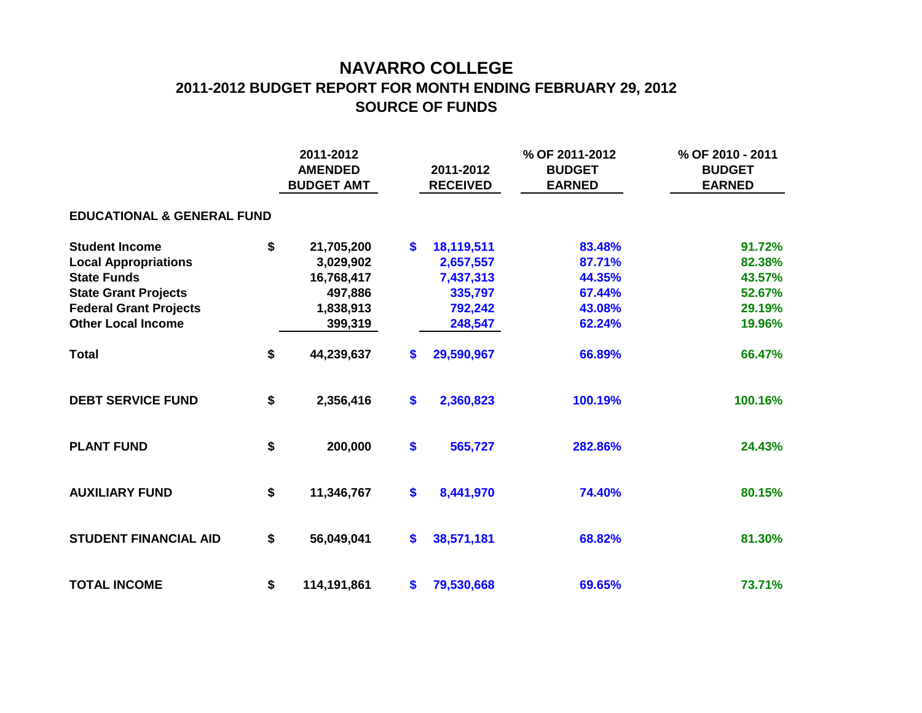## **NAVARRO COLLEGE 2011-2012 BUDGET REPORT FOR MONTH ENDING FEBRUARY 29, 2012 SOURCE OF FUNDS**

|                                       |    | 2011-2012<br><b>AMENDED</b><br><b>BUDGET AMT</b> |    | 2011-2012<br><b>RECEIVED</b> | % OF 2011-2012<br><b>BUDGET</b><br><b>EARNED</b> | % OF 2010 - 2011<br><b>BUDGET</b><br><b>EARNED</b> |  |  |  |  |  |  |  |  |
|---------------------------------------|----|--------------------------------------------------|----|------------------------------|--------------------------------------------------|----------------------------------------------------|--|--|--|--|--|--|--|--|
| <b>EDUCATIONAL &amp; GENERAL FUND</b> |    |                                                  |    |                              |                                                  |                                                    |  |  |  |  |  |  |  |  |
| <b>Student Income</b>                 | \$ | 21,705,200                                       | \$ | 18,119,511                   | 83.48%                                           | 91.72%                                             |  |  |  |  |  |  |  |  |
| <b>Local Appropriations</b>           |    | 3,029,902                                        |    | 2,657,557                    | 87.71%                                           | 82.38%                                             |  |  |  |  |  |  |  |  |
| <b>State Funds</b>                    |    | 16,768,417                                       |    | 7,437,313                    | 44.35%                                           | 43.57%                                             |  |  |  |  |  |  |  |  |
| <b>State Grant Projects</b>           |    | 497,886                                          |    | 335,797                      | 67.44%                                           | 52.67%                                             |  |  |  |  |  |  |  |  |
| <b>Federal Grant Projects</b>         |    | 1,838,913                                        |    | 792,242                      | 43.08%                                           | 29.19%                                             |  |  |  |  |  |  |  |  |
| <b>Other Local Income</b>             |    | 399,319                                          |    | 248,547                      | 62.24%                                           | 19.96%                                             |  |  |  |  |  |  |  |  |
| <b>Total</b>                          | \$ | 44,239,637                                       | \$ | 29,590,967                   | 66.89%                                           | 66.47%                                             |  |  |  |  |  |  |  |  |
| <b>DEBT SERVICE FUND</b>              | \$ | 2,356,416                                        | \$ | 2,360,823                    | 100.19%                                          | 100.16%                                            |  |  |  |  |  |  |  |  |
| <b>PLANT FUND</b>                     | \$ | 200,000                                          | \$ | 565,727                      | 282.86%                                          | 24.43%                                             |  |  |  |  |  |  |  |  |
| <b>AUXILIARY FUND</b>                 | \$ | 11,346,767                                       | \$ | 8,441,970                    | 74.40%                                           | 80.15%                                             |  |  |  |  |  |  |  |  |
| <b>STUDENT FINANCIAL AID</b>          | \$ | 56,049,041                                       | \$ | 38,571,181                   | 68.82%                                           | 81.30%                                             |  |  |  |  |  |  |  |  |
| <b>TOTAL INCOME</b>                   | \$ | 114,191,861                                      | S. | 79,530,668                   | 69.65%                                           | 73.71%                                             |  |  |  |  |  |  |  |  |